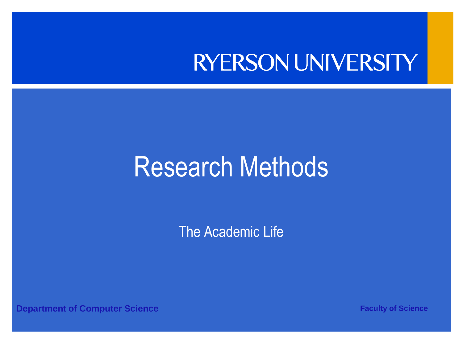### **RYERSON UNIVERSITY**

### Research Methods

The Academic Life

**Department of Computer Science <b>Faculty of Science Faculty of Science**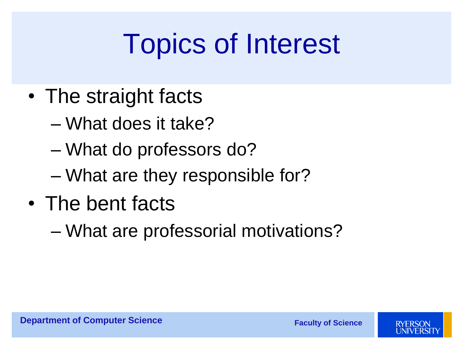## Topics of Interest

- The straight facts
	- What does it take?
	- What do professors do?
	- What are they responsible for?
- The bent facts
	- What are professorial motivations?

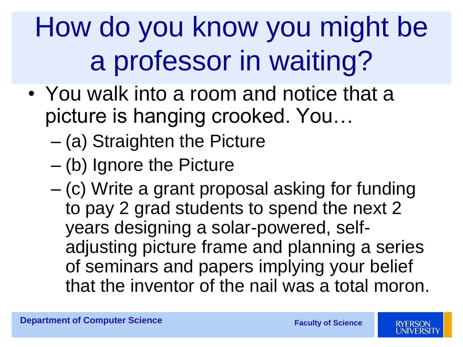# How do you know you might be a professor in waiting?

- You walk into a room and notice that a picture is hanging crooked. You…
	- (a) Straighten the Picture
	- (b) Ignore the Picture
	- (c) Write a grant proposal asking for funding to pay 2 grad students to spend the next 2 years designing a solar-powered, selfadjusting picture frame and planning a series of seminars and papers implying your belief that the inventor of the nail was a total moron.

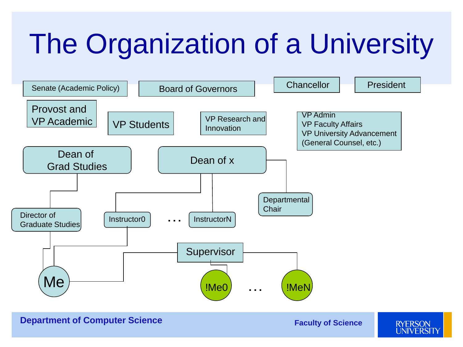## The Organization of a University

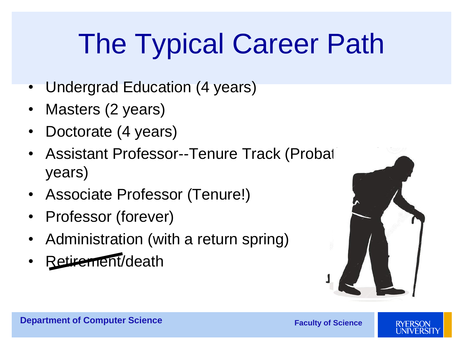## The Typical Career Path

- Undergrad Education (4 years)
- Masters (2 years)
- Doctorate (4 years)
- Assistant Professor--Tenure Track (Probat years)
- Associate Professor (Tenure!)
- Professor (forever)
- Administration (with a return spring)
- Retirement/death



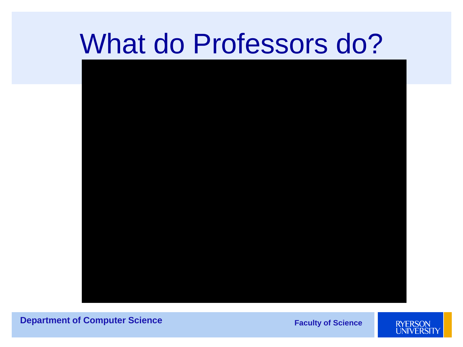### What do Professors do?



**Department of Computer Science** 

**Faculty of Science** 

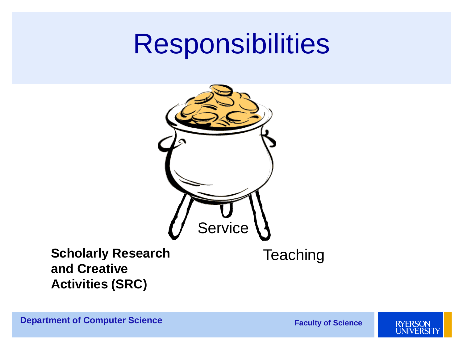### **Responsibilities**



#### **Scholarly Research and Creative Activities (SRC)**

**Department of Computer Science** 

**Teaching** 

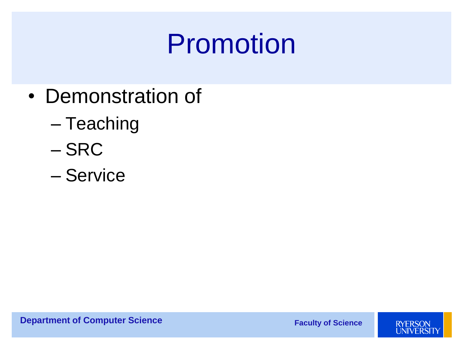### Promotion

- Demonstration of
	- Teaching
	- SRC
	- Service

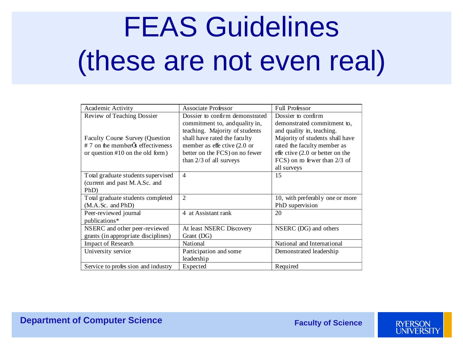# FEAS Guidelines (these are not even real)

| Academic Activity                                      | <b>Associate Professor</b>      | <b>Full Professor</b>            |
|--------------------------------------------------------|---------------------------------|----------------------------------|
| Review of Teaching Dossier                             | Dossier to confirm demonstrated | Dossier to confirm               |
|                                                        | commitment to, and quality in,  | demonstrated commitment to,      |
|                                                        | teaching. Majority of students  | and quality in, teaching.        |
| <b>Faculty Course Survey (Question</b>                 | shall have rated the faculty    | Majority of students shall have  |
| $# 7$ on the member $\tilde{\mathbf{Q}}$ effectiveness | member as effective (2.0 or     | rated the faculty member as      |
| or question $#10$ on the old form)                     | better on the FCS) on no fewer  | effe ctive (2.0 or better on the |
|                                                        | than 2/3 of all surveys         | FCS) on m fewer than $2/3$ of    |
|                                                        |                                 | all surveys                      |
| Total graduate students supervised                     | $\overline{4}$                  | 15                               |
| (current and past M.A.Sc. and                          |                                 |                                  |
| PhD)                                                   |                                 |                                  |
| Total graduate students completed                      | $\overline{2}$                  | 10, with preferably one or more  |
| $(M.A.Sc.$ and $PhD)$                                  |                                 | PhD supervision                  |
| Peer-reviewed journal                                  | 4 at Assistant rank             | 20                               |
| publications*                                          |                                 |                                  |
| NSERC and other peer-reviewed                          | At least NSERC Discovery        | NSERC (DG) and others            |
| grants (in appropriate disciplines)                    | Grant (DG)                      |                                  |
| <b>Impact of Research</b>                              | <b>National</b>                 | National and International       |
| University service                                     | Participation and some          | Demonstrated leadership          |
|                                                        | leadership                      |                                  |
| Service to profes sion and industry                    | Expected                        | Required                         |
|                                                        |                                 |                                  |

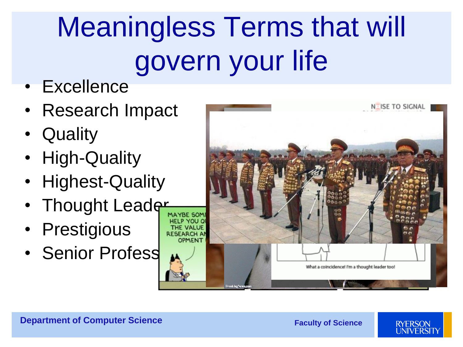# Meaningless Terms that will govern your life

- Excellence
- Research Impact
- Quality
- High-Quality
- Highest-Quality
- Thought Leader
- Prestigious
- Senior Profess



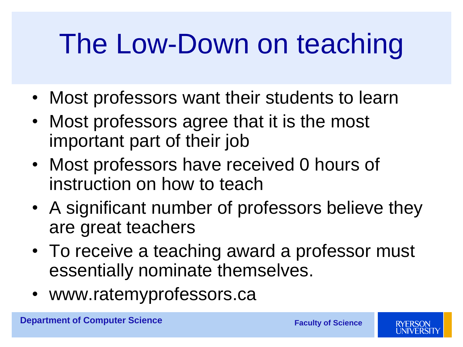## The Low-Down on teaching

- Most professors want their students to learn
- Most professors agree that it is the most important part of their job
- Most professors have received 0 hours of instruction on how to teach
- A significant number of professors believe they are great teachers
- To receive a teaching award a professor must essentially nominate themselves.
- www.ratemyprofessors.ca

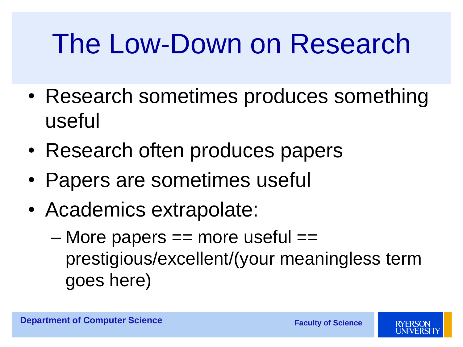### The Low-Down on Research

- Research sometimes produces something useful
- Research often produces papers
- Papers are sometimes useful
- Academics extrapolate:
	- $-$  More papers  $==$  more useful  $==$ prestigious/excellent/(your meaningless term goes here)

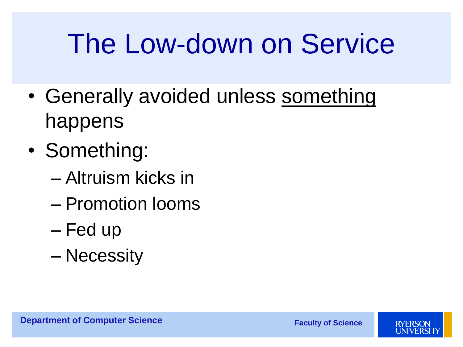### The Low-down on Service

- Generally avoided unless something happens
- Something:
	- Altruism kicks in
	- Promotion looms
	- Fed up
	- Necessity